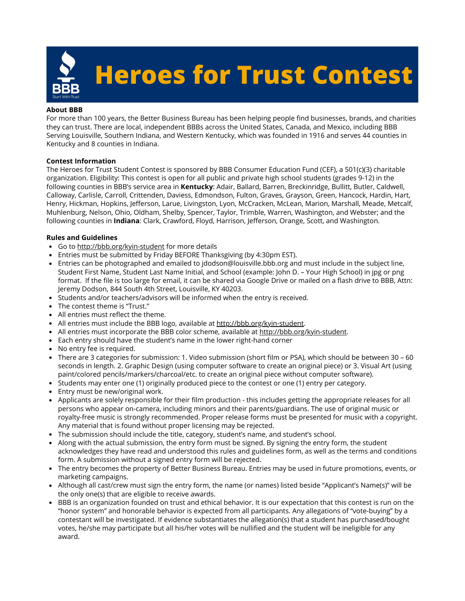

#### **About BBB**

For more than 100 years, the Better Business Bureau has been helping people find businesses, brands, and charities they can trust. There are local, independent BBBs across the United States, Canada, and Mexico, including BBB Serving Louisville, Southern Indiana, and Western Kentucky, which was founded in 1916 and serves 44 counties in Kentucky and 8 counties in Indiana.

## **Contest Information**

The Heroes for Trust Student Contest is sponsored by BBB Consumer Education Fund (CEF), a 501(c)(3) charitable organization. Eligibility: This contest is open for all public and private high school students (grades 9-12) in the following counties in BBB's service area in **Kentucky**: Adair, Ballard, Barren, Breckinridge, Bullitt, Butler, Caldwell, Calloway, Carlisle, Carroll, Crittenden, Daviess, Edmondson, Fulton, Graves, Grayson, Green, Hancock, Hardin, Hart, Henry, Hickman, Hopkins, Jefferson, Larue, Livingston, Lyon, McCracken, McLean, Marion, Marshall, Meade, Metcalf, Muhlenburg, Nelson, Ohio, Oldham, Shelby, Spencer, Taylor, Trimble, Warren, Washington, and Webster; and the following counties in **Indiana**: Clark, Crawford, Floyd, Harrison, Jefferson, Orange, Scott, and Washington.

## **Rules and Guidelines**

- Go to <http://bbb.org/kyin-student> for more details
- Entries must be submitted by Friday BEFORE Thanksgiving (by 4:30pm EST).
- Entries can be photographed and emailed to jdodson@louisville.bbb.org and must include in the subject line,  $\bullet$ Student First Name, Student Last Name Initial, and School (example: John D. – Your High School) in jpg or png format. If the file is too large for email, it can be shared via Google Drive or mailed on a flash drive to BBB, Attn: Jeremy Dodson, 844 South 4th Street, Louisville, KY 40203.
- Students and/or teachers/advisors will be informed when the entry is received.
- The contest theme is "Trust."
- All entries must reflect the theme.
- All entries must include the BBB logo, available at<http://bbb.org/kyin-student>.
- All entries must incorporate the BBB color scheme, available at <http://bbb.org/kyin-student>.
- Each entry should have the student's name in the lower right-hand corner
- No entry fee is required.
- There are 3 categories for submission: 1. Video submission (short film or PSA), which should be between 30 60 seconds in length. 2. Graphic Design (using computer software to create an original piece) or 3. Visual Art (using paint/colored pencils/markers/charcoal/etc. to create an original piece without computer software).
- Students may enter one (1) originally produced piece to the contest or one (1) entry per category.
- Entry must be new/original work.
- Applicants are solely responsible for their film production this includes getting the appropriate releases for all persons who appear on-camera, including minors and their parents/guardians. The use of original music or royalty-free music is strongly recommended. Proper release forms must be presented for music with a copyright. Any material that is found without proper licensing may be rejected.
- The submission should include the title, category, student's name, and student's school.
- Along with the actual submission, the entry form must be signed. By signing the entry form, the student acknowledges they have read and understood this rules and guidelines form, as well as the terms and conditions form. A submission without a signed entry form will be rejected.
- The entry becomes the property of Better Business Bureau. Entries may be used in future promotions, events, or marketing campaigns.
- Although all cast/crew must sign the entry form, the name (or names) listed beside "Applicant's Name(s)" will be the only one(s) that are eligible to receive awards.
- BBB is an organization founded on trust and ethical behavior. It is our expectation that this contest is run on the "honor system" and honorable behavior is expected from all participants. Any allegations of "vote-buying" by a contestant will be investigated. If evidence substantiates the allegation(s) that a student has purchased/bought votes, he/she may participate but all his/her votes will be nullified and the student will be ineligible for any award.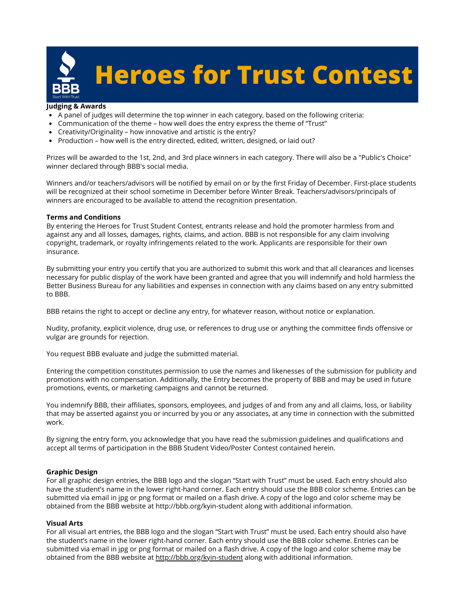

### **Judging & Awards**

- A panel of judges will determine the top winner in each category, based on the following criteria:
- Communication of the theme how well does the entry express the theme of "Trust"
- Creativity/Originality how innovative and artistic is the entry?
- Production how well is the entry directed, edited, written, designed, or laid out?

Prizes will be awarded to the 1st, 2nd, and 3rd place winners in each category. There will also be a "Public's Choice" winner declared through BBB's social media.

Winners and/or teachers/advisors will be notified by email on or by the first Friday of December. First-place students will be recognized at their school sometime in December before Winter Break. Teachers/advisors/principals of winners are encouraged to be available to attend the recognition presentation.

#### **Terms and Conditions**

By entering the Heroes for Trust Student Contest, entrants release and hold the promoter harmless from and against any and all losses, damages, rights, claims, and action. BBB is not responsible for any claim involving copyright, trademark, or royalty infringements related to the work. Applicants are responsible for their own insurance.

By submitting your entry you certify that you are authorized to submit this work and that all clearances and licenses necessary for public display of the work have been granted and agree that you will indemnify and hold harmless the Better Business Bureau for any liabilities and expenses in connection with any claims based on any entry submitted to BBB.

BBB retains the right to accept or decline any entry, for whatever reason, without notice or explanation.

Nudity, profanity, explicit violence, drug use, or references to drug use or anything the committee finds offensive or vulgar are grounds for rejection.

You request BBB evaluate and judge the submitted material.

Entering the competition constitutes permission to use the names and likenesses of the submission for publicity and promotions with no compensation. Additionally, the Entry becomes the property of BBB and may be used in future promotions, events, or marketing campaigns and cannot be returned.

You indemnify BBB, their affiliates, sponsors, employees, and judges of and from any and all claims, loss, or liability that may be asserted against you or incurred by you or any associates, at any time in connection with the submitted work.

By signing the entry form, you acknowledge that you have read the submission guidelines and qualifications and accept all terms of participation in the BBB Student Video/Poster Contest contained herein.

#### **Graphic Design**

For all graphic design entries, the BBB logo and the slogan "Start with Trust" must be used. Each entry should also have the student's name in the lower right-hand corner. Each entry should use the BBB color scheme. Entries can be submitted via email in jpg or png format or mailed on a flash drive. A copy of the logo and color scheme may be obtained from the BBB website at http://bbb.org/kyin-student along with additional information.

#### **Visual Arts**

For all visual art entries, the BBB logo and the slogan "Start with Trust" must be used. Each entry should also have the student's name in the lower right-hand corner. Each entry should use the BBB color scheme. Entries can be submitted via email in jpg or png format or mailed on a flash drive. A copy of the logo and color scheme may be obtained from the BBB website at <http://bbb.org/kyin-student>along with additional information.